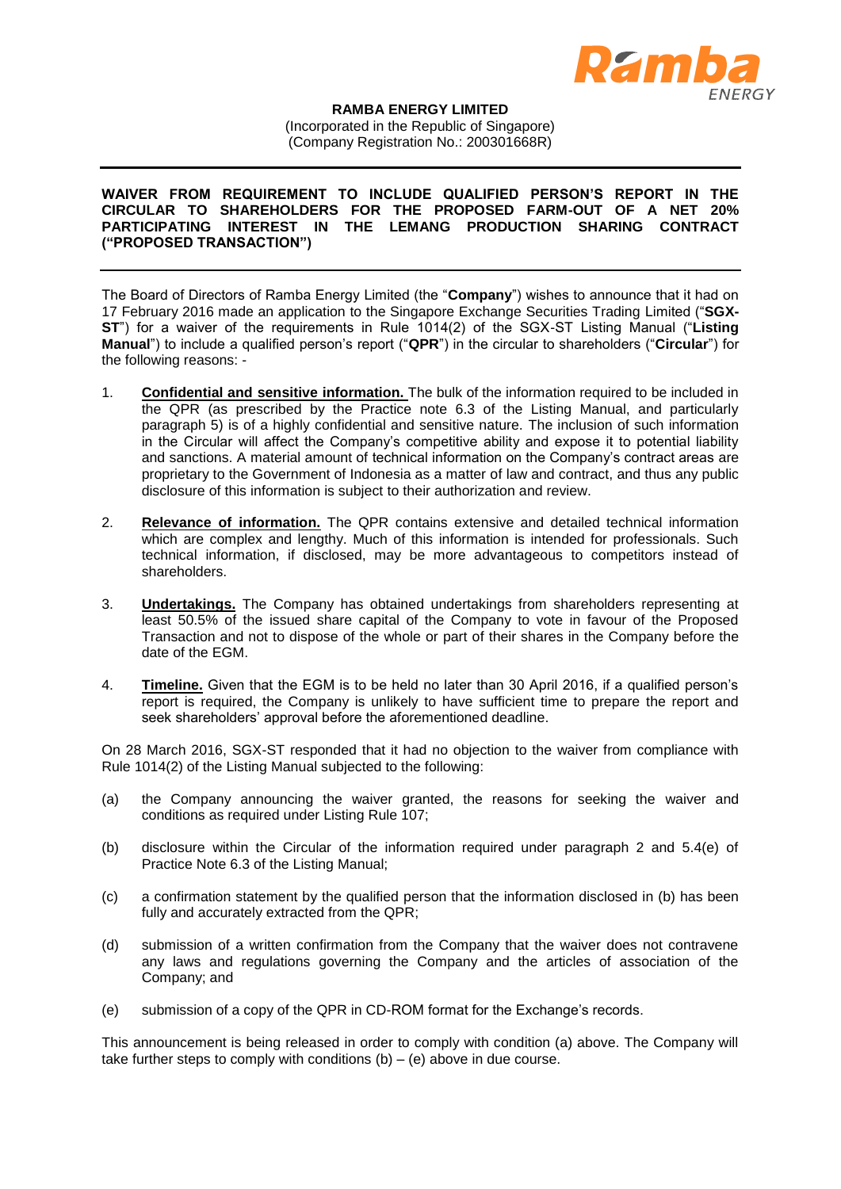

## **RAMBA ENERGY LIMITED**

(Incorporated in the Republic of Singapore) (Company Registration No.: 200301668R)

## **WAIVER FROM REQUIREMENT TO INCLUDE QUALIFIED PERSON'S REPORT IN THE CIRCULAR TO SHAREHOLDERS FOR THE PROPOSED FARM-OUT OF A NET 20% PARTICIPATING INTEREST IN THE LEMANG PRODUCTION SHARING CONTRACT ("PROPOSED TRANSACTION")**

The Board of Directors of Ramba Energy Limited (the "**Company**") wishes to announce that it had on 17 February 2016 made an application to the Singapore Exchange Securities Trading Limited ("**SGX-ST**") for a waiver of the requirements in Rule 1014(2) of the SGX-ST Listing Manual ("**Listing Manual**") to include a qualified person's report ("**QPR**") in the circular to shareholders ("**Circular**") for the following reasons: -

- 1. **Confidential and sensitive information.** The bulk of the information required to be included in the QPR (as prescribed by the Practice note 6.3 of the Listing Manual, and particularly paragraph 5) is of a highly confidential and sensitive nature. The inclusion of such information in the Circular will affect the Company's competitive ability and expose it to potential liability and sanctions. A material amount of technical information on the Company's contract areas are proprietary to the Government of Indonesia as a matter of law and contract, and thus any public disclosure of this information is subject to their authorization and review.
- 2. **Relevance of information.** The QPR contains extensive and detailed technical information which are complex and lengthy. Much of this information is intended for professionals. Such technical information, if disclosed, may be more advantageous to competitors instead of shareholders.
- 3. **Undertakings.** The Company has obtained undertakings from shareholders representing at least 50.5% of the issued share capital of the Company to vote in favour of the Proposed Transaction and not to dispose of the whole or part of their shares in the Company before the date of the EGM.
- 4. **Timeline.** Given that the EGM is to be held no later than 30 April 2016, if a qualified person's report is required, the Company is unlikely to have sufficient time to prepare the report and seek shareholders' approval before the aforementioned deadline.

On 28 March 2016, SGX-ST responded that it had no objection to the waiver from compliance with Rule 1014(2) of the Listing Manual subjected to the following:

- (a) the Company announcing the waiver granted, the reasons for seeking the waiver and conditions as required under Listing Rule 107;
- (b) disclosure within the Circular of the information required under paragraph 2 and 5.4(e) of Practice Note 6.3 of the Listing Manual;
- (c) a confirmation statement by the qualified person that the information disclosed in (b) has been fully and accurately extracted from the QPR;
- (d) submission of a written confirmation from the Company that the waiver does not contravene any laws and regulations governing the Company and the articles of association of the Company; and
- (e) submission of a copy of the QPR in CD-ROM format for the Exchange's records.

This announcement is being released in order to comply with condition (a) above. The Company will take further steps to comply with conditions  $(b) - (e)$  above in due course.